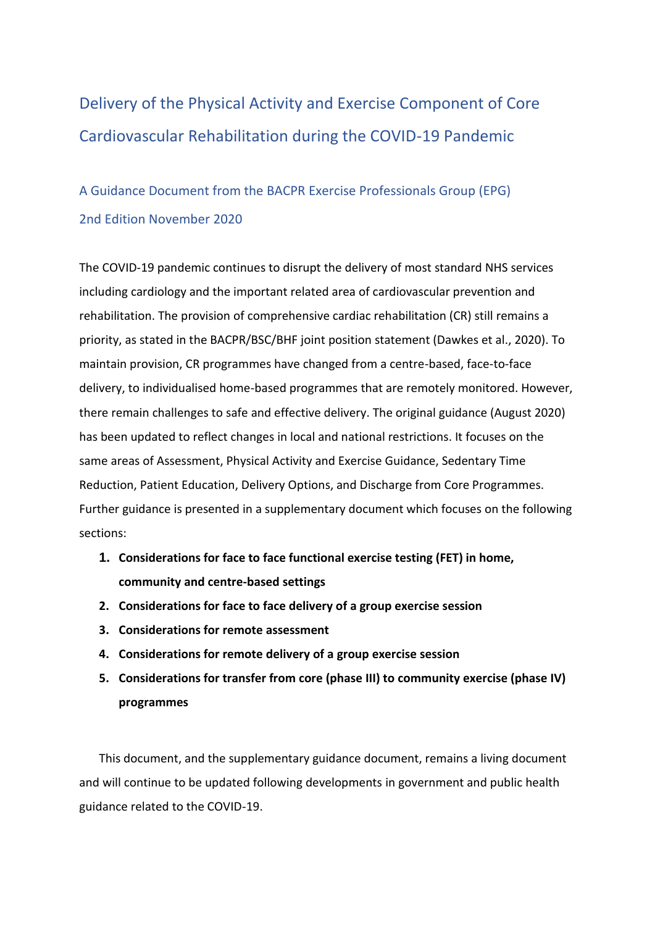# Delivery of the Physical Activity and Exercise Component of Core Cardiovascular Rehabilitation during the COVID-19 Pandemic

## A Guidance Document from the BACPR Exercise Professionals Group (EPG) 2nd Edition November 2020

The COVID-19 pandemic continues to disrupt the delivery of most standard NHS services including cardiology and the important related area of cardiovascular prevention and rehabilitation. The provision of comprehensive cardiac rehabilitation (CR) still remains a priority, as stated in the BACPR/BSC/BHF joint position statement (Dawkes et al., 2020). To maintain provision, CR programmes have changed from a centre-based, face-to-face delivery, to individualised home-based programmes that are remotely monitored. However, there remain challenges to safe and effective delivery. The original guidance (August 2020) has been updated to reflect changes in local and national restrictions. It focuses on the same areas of Assessment, Physical Activity and Exercise Guidance, Sedentary Time Reduction, Patient Education, Delivery Options, and Discharge from Core Programmes. Further guidance is presented in a supplementary document which focuses on the following sections:

- **1. Considerations for face to face functional exercise testing (FET) in home, community and centre-based settings**
- **2. Considerations for face to face delivery of a group exercise session**
- **3. Considerations for remote assessment**
- **4. Considerations for remote delivery of a group exercise session**
- **5. Considerations for transfer from core (phase III) to community exercise (phase IV) programmes**

This document, and the supplementary guidance document, remains a living document and will continue to be updated following developments in government and public health guidance related to the COVID-19.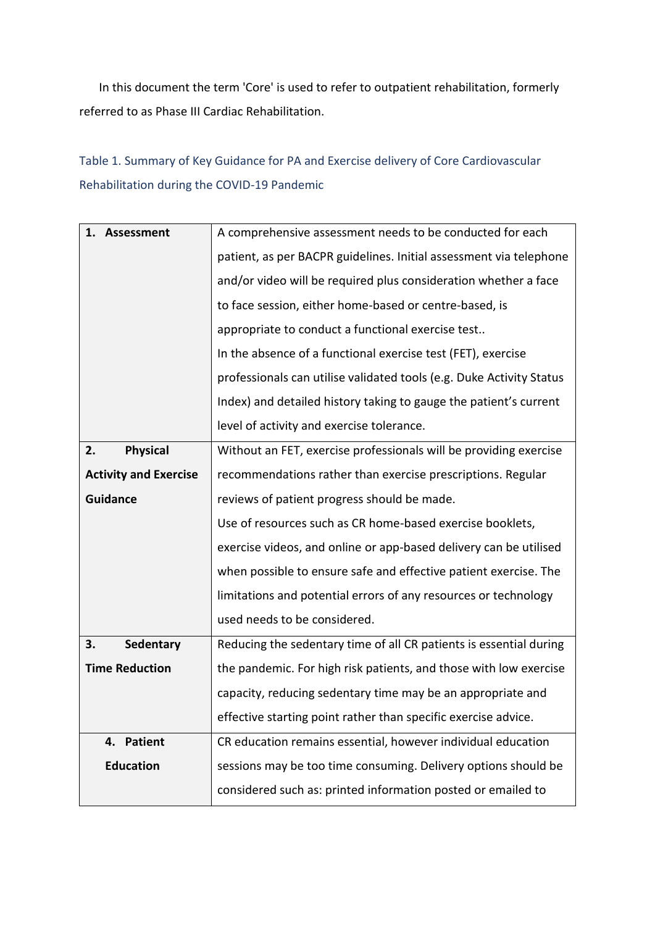In this document the term 'Core' is used to refer to outpatient rehabilitation, formerly referred to as Phase III Cardiac Rehabilitation.

Table 1. Summary of Key Guidance for PA and Exercise delivery of Core Cardiovascular Rehabilitation during the COVID-19 Pandemic

| A comprehensive assessment needs to be conducted for each            |
|----------------------------------------------------------------------|
| patient, as per BACPR guidelines. Initial assessment via telephone   |
| and/or video will be required plus consideration whether a face      |
| to face session, either home-based or centre-based, is               |
| appropriate to conduct a functional exercise test                    |
| In the absence of a functional exercise test (FET), exercise         |
| professionals can utilise validated tools (e.g. Duke Activity Status |
| Index) and detailed history taking to gauge the patient's current    |
| level of activity and exercise tolerance.                            |
| Without an FET, exercise professionals will be providing exercise    |
| recommendations rather than exercise prescriptions. Regular          |
| reviews of patient progress should be made.                          |
| Use of resources such as CR home-based exercise booklets,            |
| exercise videos, and online or app-based delivery can be utilised    |
| when possible to ensure safe and effective patient exercise. The     |
| limitations and potential errors of any resources or technology      |
| used needs to be considered.                                         |
| Reducing the sedentary time of all CR patients is essential during   |
| the pandemic. For high risk patients, and those with low exercise    |
| capacity, reducing sedentary time may be an appropriate and          |
| effective starting point rather than specific exercise advice.       |
| CR education remains essential, however individual education         |
| sessions may be too time consuming. Delivery options should be       |
| considered such as: printed information posted or emailed to         |
|                                                                      |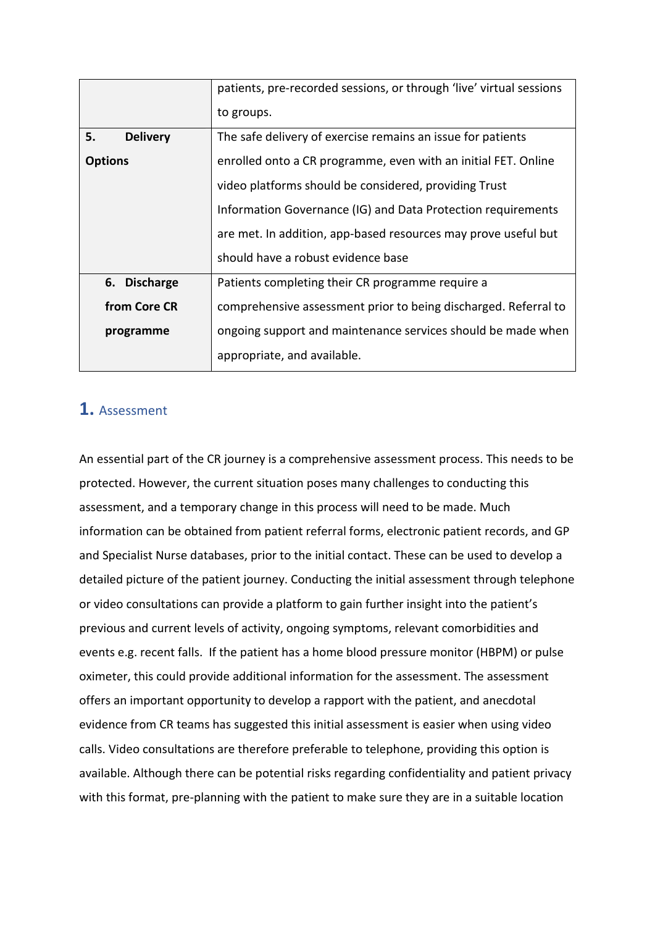|                       | patients, pre-recorded sessions, or through 'live' virtual sessions |
|-----------------------|---------------------------------------------------------------------|
|                       | to groups.                                                          |
| <b>Delivery</b><br>5. | The safe delivery of exercise remains an issue for patients         |
| <b>Options</b>        | enrolled onto a CR programme, even with an initial FET. Online      |
|                       | video platforms should be considered, providing Trust               |
|                       | Information Governance (IG) and Data Protection requirements        |
|                       | are met. In addition, app-based resources may prove useful but      |
|                       | should have a robust evidence base                                  |
| 6. Discharge          | Patients completing their CR programme require a                    |
| from Core CR          | comprehensive assessment prior to being discharged. Referral to     |
| programme             | ongoing support and maintenance services should be made when        |
|                       | appropriate, and available.                                         |

## **1.** Assessment

An essential part of the CR journey is a comprehensive assessment process. This needs to be protected. However, the current situation poses many challenges to conducting this assessment, and a temporary change in this process will need to be made. Much information can be obtained from patient referral forms, electronic patient records, and GP and Specialist Nurse databases, prior to the initial contact. These can be used to develop a detailed picture of the patient journey. Conducting the initial assessment through telephone or video consultations can provide a platform to gain further insight into the patient's previous and current levels of activity, ongoing symptoms, relevant comorbidities and events e.g. recent falls. If the patient has a home blood pressure monitor (HBPM) or pulse oximeter, this could provide additional information for the assessment. The assessment offers an important opportunity to develop a rapport with the patient, and anecdotal evidence from CR teams has suggested this initial assessment is easier when using video calls. Video consultations are therefore preferable to telephone, providing this option is available. Although there can be potential risks regarding confidentiality and patient privacy with this format, pre-planning with the patient to make sure they are in a suitable location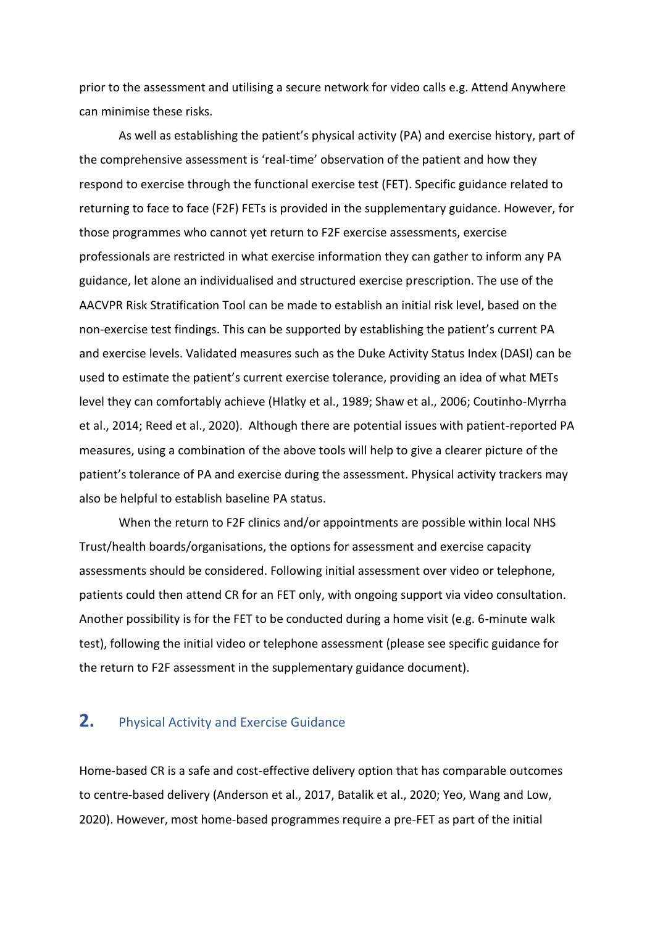prior to the assessment and utilising a secure network for video calls e.g. Attend Anywhere can minimise these risks.

As well as establishing the patient's physical activity (PA) and exercise history, part of the comprehensive assessment is 'real-time' observation of the patient and how they respond to exercise through the functional exercise test (FET). Specific guidance related to returning to face to face (F2F) FETs is provided in the supplementary guidance. However, for those programmes who cannot yet return to F2F exercise assessments, exercise professionals are restricted in what exercise information they can gather to inform any PA guidance, let alone an individualised and structured exercise prescription. The use of the AACVPR Risk Stratification Tool can be made to establish an initial risk level, based on the non-exercise test findings. This can be supported by establishing the patient's current PA and exercise levels. Validated measures such as the Duke Activity Status Index (DASI) can be used to estimate the patient's current exercise tolerance, providing an idea of what METs level they can comfortably achieve (Hlatky et al., 1989; Shaw et al., 2006; Coutinho-Myrrha et al., 2014; Reed et al., 2020). Although there are potential issues with patient-reported PA measures, using a combination of the above tools will help to give a clearer picture of the patient's tolerance of PA and exercise during the assessment. Physical activity trackers may also be helpful to establish baseline PA status.

When the return to F2F clinics and/or appointments are possible within local NHS Trust/health boards/organisations, the options for assessment and exercise capacity assessments should be considered. Following initial assessment over video or telephone, patients could then attend CR for an FET only, with ongoing support via video consultation. Another possibility is for the FET to be conducted during a home visit (e.g. 6-minute walk test), following the initial video or telephone assessment (please see specific guidance for the return to F2F assessment in the supplementary guidance document).

#### **2.** Physical Activity and Exercise Guidance

Home-based CR is a safe and cost-effective delivery option that has comparable outcomes to centre-based delivery (Anderson et al., 2017, Batalik et al., 2020; Yeo, Wang and Low, 2020). However, most home-based programmes require a pre-FET as part of the initial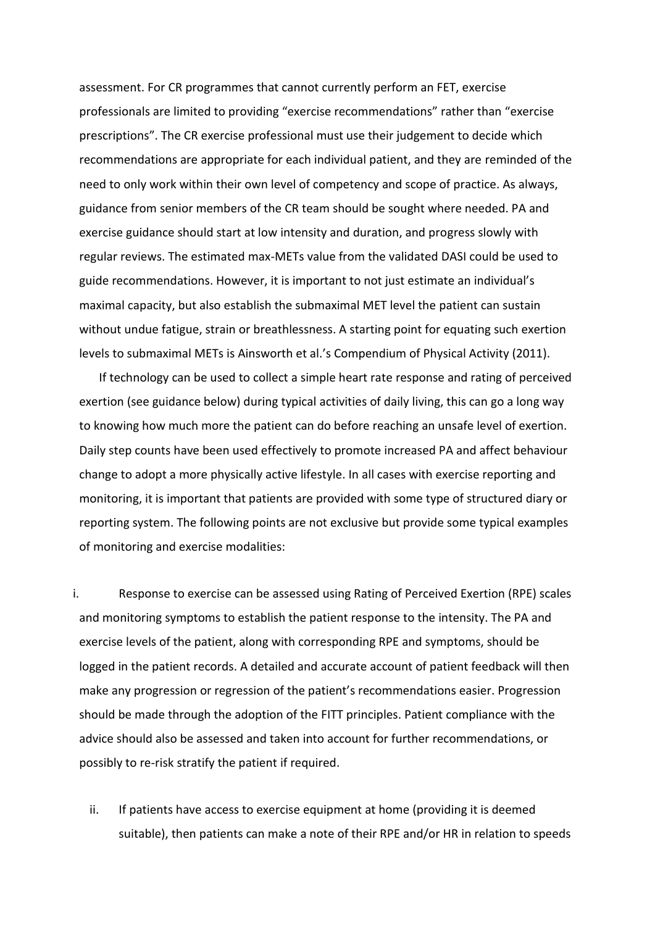assessment. For CR programmes that cannot currently perform an FET, exercise professionals are limited to providing "exercise recommendations" rather than "exercise prescriptions". The CR exercise professional must use their judgement to decide which recommendations are appropriate for each individual patient, and they are reminded of the need to only work within their own level of competency and scope of practice. As always, guidance from senior members of the CR team should be sought where needed. PA and exercise guidance should start at low intensity and duration, and progress slowly with regular reviews. The estimated max-METs value from the validated DASI could be used to guide recommendations. However, it is important to not just estimate an individual's maximal capacity, but also establish the submaximal MET level the patient can sustain without undue fatigue, strain or breathlessness. A starting point for equating such exertion levels to submaximal METs is Ainsworth et al.'s Compendium of Physical Activity (2011).

If technology can be used to collect a simple heart rate response and rating of perceived exertion (see guidance below) during typical activities of daily living, this can go a long way to knowing how much more the patient can do before reaching an unsafe level of exertion. Daily step counts have been used effectively to promote increased PA and affect behaviour change to adopt a more physically active lifestyle. In all cases with exercise reporting and monitoring, it is important that patients are provided with some type of structured diary or reporting system. The following points are not exclusive but provide some typical examples of monitoring and exercise modalities:

i. Response to exercise can be assessed using Rating of Perceived Exertion (RPE) scales and monitoring symptoms to establish the patient response to the intensity. The PA and exercise levels of the patient, along with corresponding RPE and symptoms, should be logged in the patient records. A detailed and accurate account of patient feedback will then make any progression or regression of the patient's recommendations easier. Progression should be made through the adoption of the FITT principles. Patient compliance with the advice should also be assessed and taken into account for further recommendations, or possibly to re-risk stratify the patient if required.

ii. If patients have access to exercise equipment at home (providing it is deemed suitable), then patients can make a note of their RPE and/or HR in relation to speeds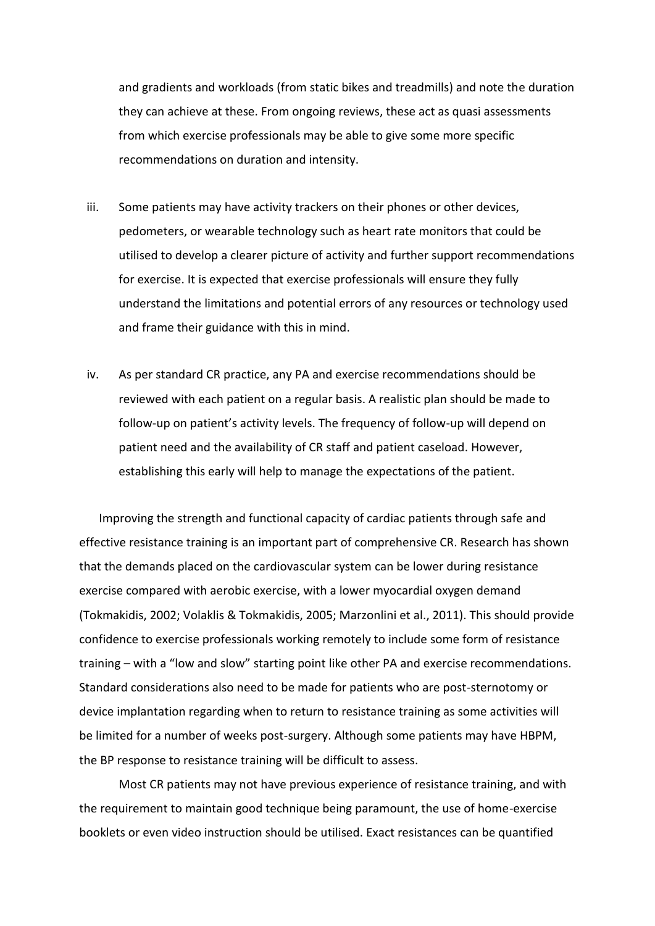and gradients and workloads (from static bikes and treadmills) and note the duration they can achieve at these. From ongoing reviews, these act as quasi assessments from which exercise professionals may be able to give some more specific recommendations on duration and intensity.

- iii. Some patients may have activity trackers on their phones or other devices, pedometers, or wearable technology such as heart rate monitors that could be utilised to develop a clearer picture of activity and further support recommendations for exercise. It is expected that exercise professionals will ensure they fully understand the limitations and potential errors of any resources or technology used and frame their guidance with this in mind.
- iv. As per standard CR practice, any PA and exercise recommendations should be reviewed with each patient on a regular basis. A realistic plan should be made to follow-up on patient's activity levels. The frequency of follow-up will depend on patient need and the availability of CR staff and patient caseload. However, establishing this early will help to manage the expectations of the patient.

Improving the strength and functional capacity of cardiac patients through safe and effective resistance training is an important part of comprehensive CR. Research has shown that the demands placed on the cardiovascular system can be lower during resistance exercise compared with aerobic exercise, with a lower myocardial oxygen demand (Tokmakidis, 2002; Volaklis & Tokmakidis, 2005; Marzonlini et al., 2011). This should provide confidence to exercise professionals working remotely to include some form of resistance training – with a "low and slow" starting point like other PA and exercise recommendations. Standard considerations also need to be made for patients who are post-sternotomy or device implantation regarding when to return to resistance training as some activities will be limited for a number of weeks post-surgery. Although some patients may have HBPM, the BP response to resistance training will be difficult to assess.

Most CR patients may not have previous experience of resistance training, and with the requirement to maintain good technique being paramount, the use of home-exercise booklets or even video instruction should be utilised. Exact resistances can be quantified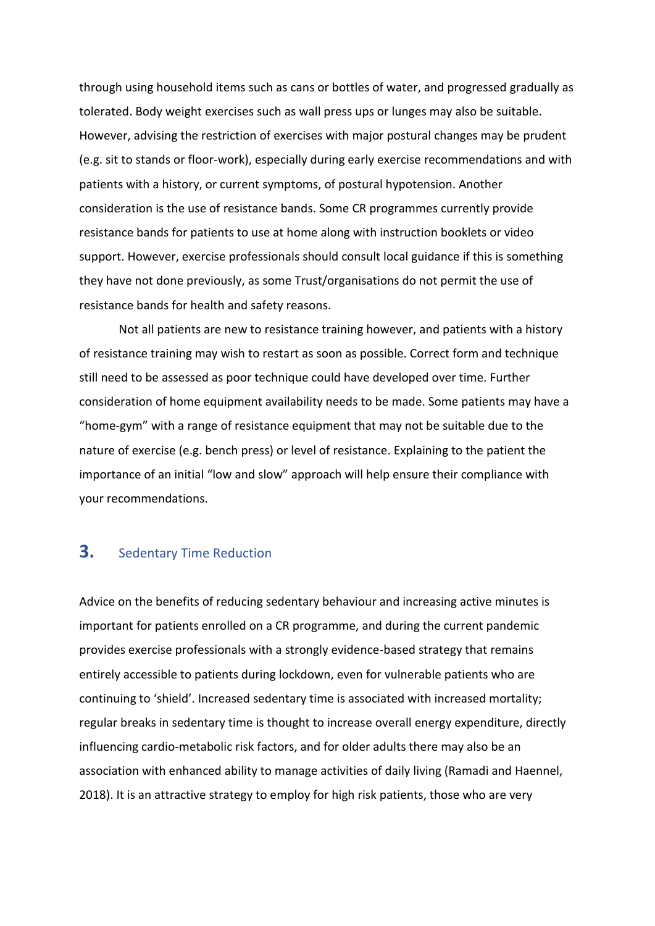through using household items such as cans or bottles of water, and progressed gradually as tolerated. Body weight exercises such as wall press ups or lunges may also be suitable. However, advising the restriction of exercises with major postural changes may be prudent (e.g. sit to stands or floor-work), especially during early exercise recommendations and with patients with a history, or current symptoms, of postural hypotension. Another consideration is the use of resistance bands. Some CR programmes currently provide resistance bands for patients to use at home along with instruction booklets or video support. However, exercise professionals should consult local guidance if this is something they have not done previously, as some Trust/organisations do not permit the use of resistance bands for health and safety reasons.

Not all patients are new to resistance training however, and patients with a history of resistance training may wish to restart as soon as possible. Correct form and technique still need to be assessed as poor technique could have developed over time. Further consideration of home equipment availability needs to be made. Some patients may have a "home-gym" with a range of resistance equipment that may not be suitable due to the nature of exercise (e.g. bench press) or level of resistance. Explaining to the patient the importance of an initial "low and slow" approach will help ensure their compliance with your recommendations.

### **3.** Sedentary Time Reduction

Advice on the benefits of reducing sedentary behaviour and increasing active minutes is important for patients enrolled on a CR programme, and during the current pandemic provides exercise professionals with a strongly evidence-based strategy that remains entirely accessible to patients during lockdown, even for vulnerable patients who are continuing to 'shield'. Increased sedentary time is associated with increased mortality; regular breaks in sedentary time is thought to increase overall energy expenditure, directly influencing cardio-metabolic risk factors, and for older adults there may also be an association with enhanced ability to manage activities of daily living (Ramadi and Haennel, 2018). It is an attractive strategy to employ for high risk patients, those who are very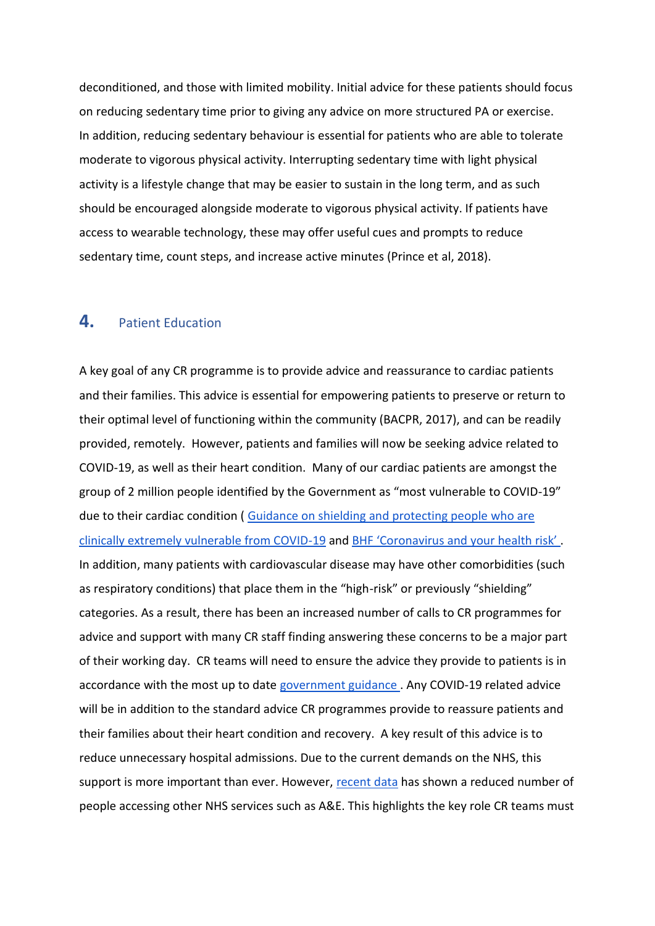deconditioned, and those with limited mobility. Initial advice for these patients should focus on reducing sedentary time prior to giving any advice on more structured PA or exercise. In addition, reducing sedentary behaviour is essential for patients who are able to tolerate moderate to vigorous physical activity. Interrupting sedentary time with light physical activity is a lifestyle change that may be easier to sustain in the long term, and as such should be encouraged alongside moderate to vigorous physical activity. If patients have access to wearable technology, these may offer useful cues and prompts to reduce sedentary time, count steps, and increase active minutes (Prince et al, 2018).

#### **4.** Patient Education

A key goal of any CR programme is to provide advice and reassurance to cardiac patients and their families. This advice is essential for empowering patients to preserve or return to their optimal level of functioning within the community (BACPR, 2017), and can be readily provided, remotely. However, patients and families will now be seeking advice related to COVID-19, as well as their heart condition. Many of our cardiac patients are amongst the group of 2 million people identified by the Government as "most vulnerable to COVID-19" due to their cardiac condition ( [Guidance on shielding and protecting people who are](https://www.gov.uk/government/publications/guidance-on-shielding-and-protecting-extremely-vulnerable-persons-from-covid-19/guidance-on-shielding-and-protecting-extremely-vulnerable-persons-from-covid-19)  [clinically extremely vulnerable from COVID-19](https://www.gov.uk/government/publications/guidance-on-shielding-and-protecting-extremely-vulnerable-persons-from-covid-19/guidance-on-shielding-and-protecting-extremely-vulnerable-persons-from-covid-19) and [BHF 'Coronavirus and your health risk'](https://www.bhf.org.uk/informationsupport/heart-matters-magazine/news/coronavirus-and-your-health#risk) . In addition, many patients with cardiovascular disease may have other comorbidities (such as respiratory conditions) that place them in the "high-risk" or previously "shielding" categories. As a result, there has been an increased number of calls to CR programmes for advice and support with many CR staff finding answering these concerns to be a major part of their working day. CR teams will need to ensure the advice they provide to patients is in accordance with the most up to date [government guidance .](https://www.gov.uk/coronavirus) Any COVID-19 related advice will be in addition to the standard advice CR programmes provide to reassure patients and their families about their heart condition and recovery. A key result of this advice is to reduce unnecessary hospital admissions. Due to the current demands on the NHS, this support is more important than ever. However, [recent data](https://www.bhf.org.uk/what-we-do/news-from-the-bhf/news-archive/2020/april/drop-in-heart-attack-patients-amidst-coronavirus-outbreak) has shown a reduced number of people accessing other NHS services such as A&E. This highlights the key role CR teams must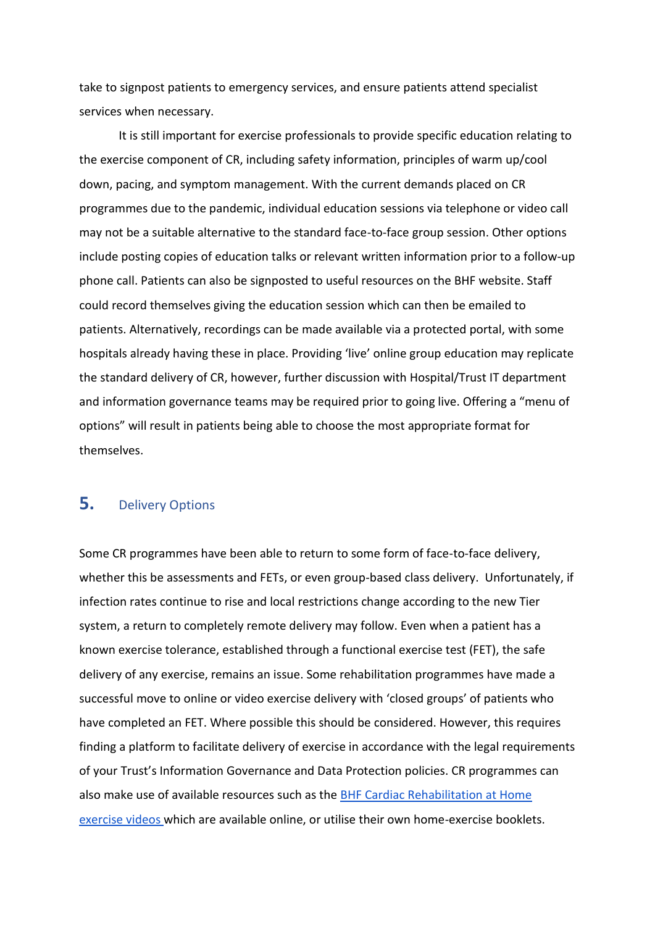take to signpost patients to emergency services, and ensure patients attend specialist services when necessary.

It is still important for exercise professionals to provide specific education relating to the exercise component of CR, including safety information, principles of warm up/cool down, pacing, and symptom management. With the current demands placed on CR programmes due to the pandemic, individual education sessions via telephone or video call may not be a suitable alternative to the standard face-to-face group session. Other options include posting copies of education talks or relevant written information prior to a follow-up phone call. Patients can also be signposted to useful resources on the BHF website. Staff could record themselves giving the education session which can then be emailed to patients. Alternatively, recordings can be made available via a protected portal, with some hospitals already having these in place. Providing 'live' online group education may replicate the standard delivery of CR, however, further discussion with Hospital/Trust IT department and information governance teams may be required prior to going live. Offering a "menu of options" will result in patients being able to choose the most appropriate format for themselves.

## **5.** Delivery Options

Some CR programmes have been able to return to some form of face-to-face delivery, whether this be assessments and FETs, or even group-based class delivery. Unfortunately, if infection rates continue to rise and local restrictions change according to the new Tier system, a return to completely remote delivery may follow. Even when a patient has a known exercise tolerance, established through a functional exercise test (FET), the safe delivery of any exercise, remains an issue. Some rehabilitation programmes have made a successful move to online or video exercise delivery with 'closed groups' of patients who have completed an FET. Where possible this should be considered. However, this requires finding a platform to facilitate delivery of exercise in accordance with the legal requirements of your Trust's Information Governance and Data Protection policies. CR programmes can also make use of available resources such as the [BHF Cardiac Rehabilitation at Home](https://www.bhf.org.uk/informationsupport/support/cardiac-rehabilitation-at-home/cardiac-rehabilitation-exercise-videos)  [exercise videos w](https://www.bhf.org.uk/informationsupport/support/cardiac-rehabilitation-at-home/cardiac-rehabilitation-exercise-videos)hich are available online, or utilise their own home-exercise booklets.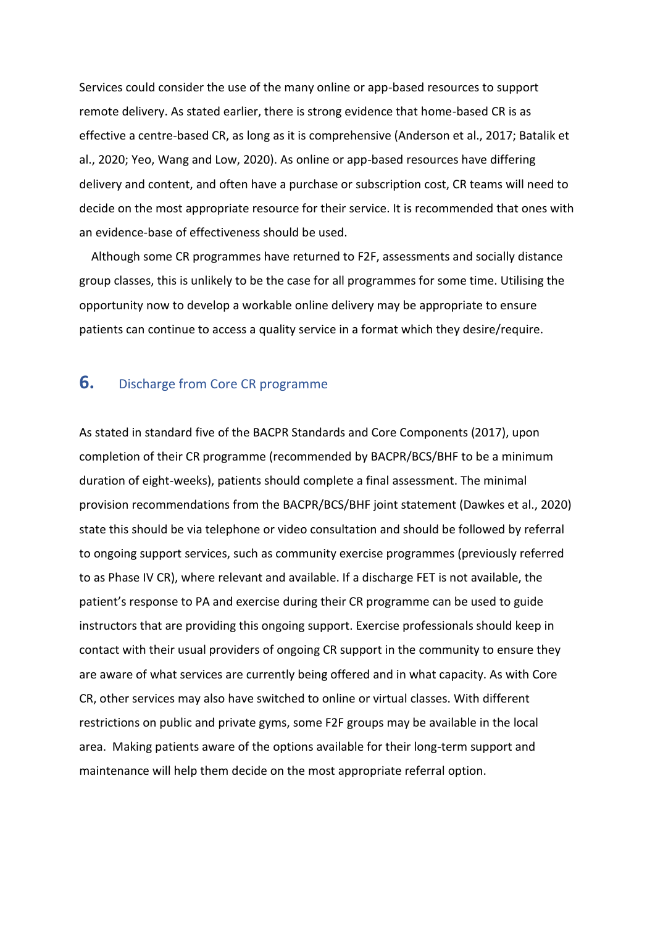Services could consider the use of the many online or app-based resources to support remote delivery. As stated earlier, there is strong evidence that home-based CR is as effective a centre-based CR, as long as it is comprehensive (Anderson et al., 2017; Batalik et al., 2020; Yeo, Wang and Low, 2020). As online or app-based resources have differing delivery and content, and often have a purchase or subscription cost, CR teams will need to decide on the most appropriate resource for their service. It is recommended that ones with an evidence-base of effectiveness should be used.

 Although some CR programmes have returned to F2F, assessments and socially distance group classes, this is unlikely to be the case for all programmes for some time. Utilising the opportunity now to develop a workable online delivery may be appropriate to ensure patients can continue to access a quality service in a format which they desire/require.

#### **6.** Discharge from Core CR programme

As stated in standard five of the BACPR Standards and Core Components (2017), upon completion of their CR programme (recommended by BACPR/BCS/BHF to be a minimum duration of eight-weeks), patients should complete a final assessment. The minimal provision recommendations from the BACPR/BCS/BHF joint statement (Dawkes et al., 2020) state this should be via telephone or video consultation and should be followed by referral to ongoing support services, such as community exercise programmes (previously referred to as Phase IV CR), where relevant and available. If a discharge FET is not available, the patient's response to PA and exercise during their CR programme can be used to guide instructors that are providing this ongoing support. Exercise professionals should keep in contact with their usual providers of ongoing CR support in the community to ensure they are aware of what services are currently being offered and in what capacity. As with Core CR, other services may also have switched to online or virtual classes. With different restrictions on public and private gyms, some F2F groups may be available in the local area. Making patients aware of the options available for their long-term support and maintenance will help them decide on the most appropriate referral option.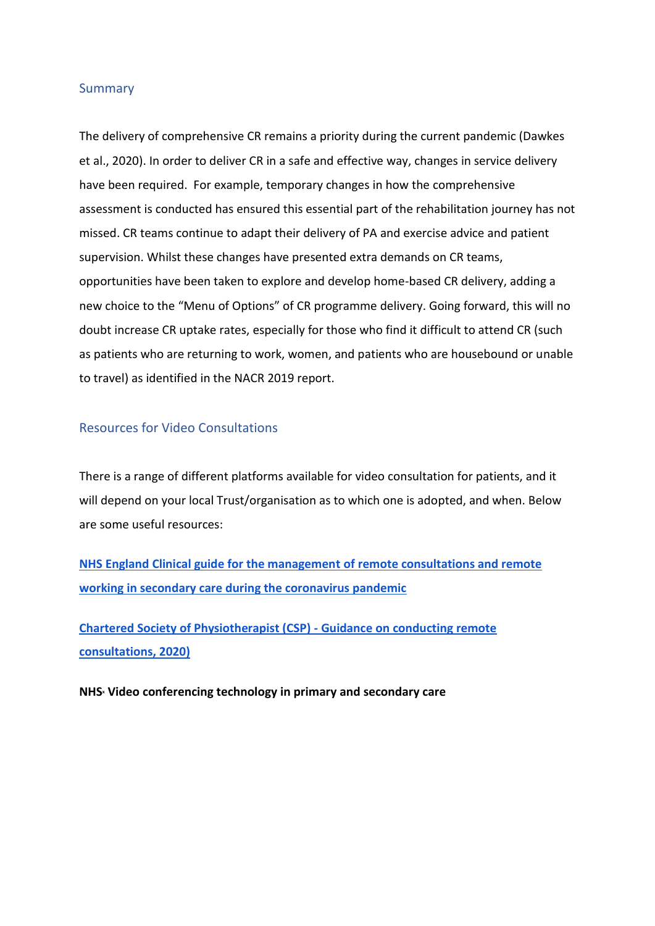#### Summary

The delivery of comprehensive CR remains a priority during the current pandemic (Dawkes et al., 2020). In order to deliver CR in a safe and effective way, changes in service delivery have been required. For example, temporary changes in how the comprehensive assessment is conducted has ensured this essential part of the rehabilitation journey has not missed. CR teams continue to adapt their delivery of PA and exercise advice and patient supervision. Whilst these changes have presented extra demands on CR teams, opportunities have been taken to explore and develop home-based CR delivery, adding a new choice to the "Menu of Options" of CR programme delivery. Going forward, this will no doubt increase CR uptake rates, especially for those who find it difficult to attend CR (such as patients who are returning to work, women, and patients who are housebound or unable to travel) as identified in the NACR 2019 report.

#### Resources for Video Consultations

There is a range of different platforms available for video consultation for patients, and it will depend on your local Trust/organisation as to which one is adopted, and when. Below are some useful resources:

**[NHS England Clinical guide for the management of remote consultations and remote](https://www.england.nhs.uk/coronavirus/wp-content/uploads/sites/52/2020/03/C0044-Specialty-Guide-Virtual-Working-and-Coronavirus-27-March-20.pdf)  [working in secondary care during the coronavirus pandemic](https://www.england.nhs.uk/coronavirus/wp-content/uploads/sites/52/2020/03/C0044-Specialty-Guide-Virtual-Working-and-Coronavirus-27-March-20.pdf)**

**[Chartered Society of Physiotherapist \(CSP\) -](https://www.csp.org.uk/publications/covid-19-guide-rapid-implementation-remote-consultations) Guidance on conducting remote [consultations, 2020\)](https://www.csp.org.uk/publications/covid-19-guide-rapid-implementation-remote-consultations)**

**NHS<sup>x</sup> [Video conferencing technology in primary and secondary care](https://www.nhsx.nhs.uk/covid-19-response/technology-nhs/web-based-platform-which-offers-video-calls-services/)**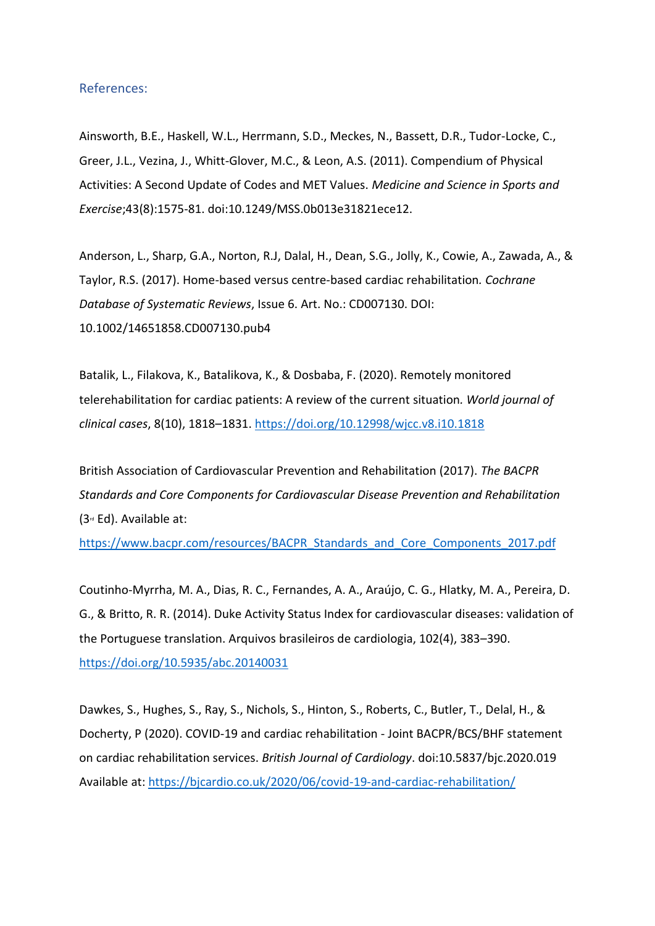#### References:

Ainsworth, B.E., Haskell, W.L., Herrmann, S.D., Meckes, N., Bassett, D.R., Tudor-Locke, C., Greer, J.L., Vezina, J., Whitt-Glover, M.C., & Leon, A.S. (2011). Compendium of Physical Activities: A Second Update of Codes and MET Values. *Medicine and Science in Sports and Exercise*;43(8):1575-81. doi:10.1249/MSS.0b013e31821ece12.

Anderson, L., Sharp, G.A., Norton, R.J, Dalal, H., Dean, S.G., Jolly, K., Cowie, A., Zawada, A., & Taylor, R.S. (2017). Home-based versus centre-based cardiac rehabilitation*. Cochrane Database of Systematic Reviews*, Issue 6. Art. No.: CD007130. DOI: 10.1002/14651858.CD007130.pub4

Batalik, L., Filakova, K., Batalikova, K., & Dosbaba, F. (2020). Remotely monitored telerehabilitation for cardiac patients: A review of the current situation*. World journal of clinical cases*, 8(10), 1818–1831.<https://doi.org/10.12998/wjcc.v8.i10.1818>

British Association of Cardiovascular Prevention and Rehabilitation (2017). *The BACPR Standards and Core Components for Cardiovascular Disease Prevention and Rehabilitation*  $(3<sup>rd</sup> Ed)$ . Available at:

[https://www.bacpr.com/resources/BACPR\\_Standards\\_and\\_Core\\_Components\\_2017.pdf](https://www.bacpr.com/resources/BACPR_Standards_and_Core_Components_2017.pdf)

Coutinho-Myrrha, M. A., Dias, R. C., Fernandes, A. A., Araújo, C. G., Hlatky, M. A., Pereira, D. G., & Britto, R. R. (2014). Duke Activity Status Index for cardiovascular diseases: validation of the Portuguese translation. Arquivos brasileiros de cardiologia, 102(4), 383–390. <https://doi.org/10.5935/abc.20140031>

Dawkes, S., Hughes, S., Ray, S., Nichols, S., Hinton, S., Roberts, C., Butler, T., Delal, H., & Docherty, P (2020). COVID-19 and cardiac rehabilitation - Joint BACPR/BCS/BHF statement on cardiac rehabilitation services. *British Journal of Cardiology*. doi:10.5837/bjc.2020.019 Available at:<https://bjcardio.co.uk/2020/06/covid-19-and-cardiac-rehabilitation/>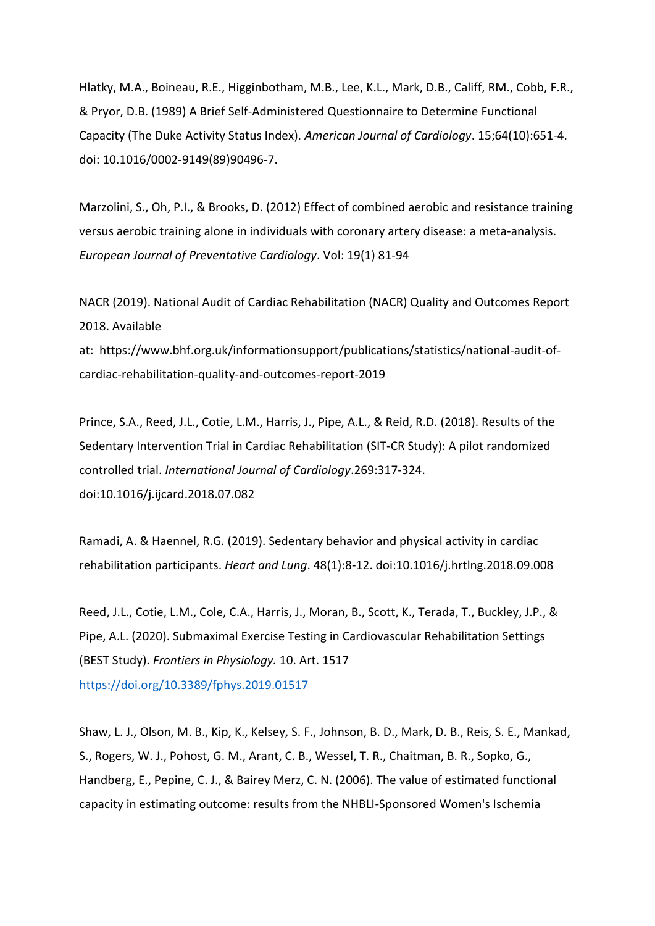Hlatky, M.A., Boineau, R.E., Higginbotham, M.B., Lee, K.L., Mark, D.B., Califf, RM., Cobb, F.R., & Pryor, D.B. (1989) A Brief Self-Administered Questionnaire to Determine Functional Capacity (The Duke Activity Status Index). *American Journal of Cardiology*. 15;64(10):651-4. doi: 10.1016/0002-9149(89)90496-7.

Marzolini, S., Oh, P.I., & Brooks, D. (2012) Effect of combined aerobic and resistance training versus aerobic training alone in individuals with coronary artery disease: a meta-analysis. *European Journal of Preventative Cardiology*. Vol: 19(1) 81-94

NACR (2019). National Audit of Cardiac Rehabilitation (NACR) Quality and Outcomes Report 2018. Available

at: https://www.bhf.org.uk/informationsupport/publications/statistics/national-audit-ofcardiac-rehabilitation-quality-and-outcomes-report-2019

Prince, S.A., Reed, J.L., Cotie, L.M., Harris, J., Pipe, A.L., & Reid, R.D. (2018). Results of the Sedentary Intervention Trial in Cardiac Rehabilitation (SIT-CR Study): A pilot randomized controlled trial. *International Journal of Cardiology*.269:317-324. doi:10.1016/j.ijcard.2018.07.082

Ramadi, A. & Haennel, R.G. (2019). Sedentary behavior and physical activity in cardiac rehabilitation participants. *Heart and Lung*. 48(1):8-12. doi:10.1016/j.hrtlng.2018.09.008

Reed, J.L., Cotie, L.M., Cole, C.A., Harris, J., Moran, B., Scott, K., Terada, T., Buckley, J.P., & Pipe, A.L. (2020). Submaximal Exercise Testing in Cardiovascular Rehabilitation Settings (BEST Study). *Frontiers in Physiology.* 10. Art. 1517 <https://doi.org/10.3389/fphys.2019.01517>

Shaw, L. J., Olson, M. B., Kip, K., Kelsey, S. F., Johnson, B. D., Mark, D. B., Reis, S. E., Mankad, S., Rogers, W. J., Pohost, G. M., Arant, C. B., Wessel, T. R., Chaitman, B. R., Sopko, G., Handberg, E., Pepine, C. J., & Bairey Merz, C. N. (2006). The value of estimated functional capacity in estimating outcome: results from the NHBLI-Sponsored Women's Ischemia